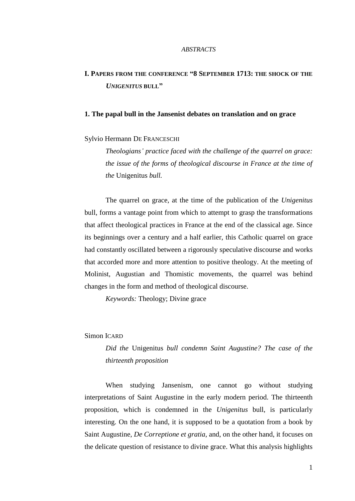#### *ABSTRACTS*

# **I. PAPERS FROM THE CONFERENCE "8 SEPTEMBER 1713: THE SHOCK OF THE** *UNIGENITUS* **BULL"**

# **1. The papal bull in the Jansenist debates on translation and on grace**

Sylvio Hermann DE FRANCESCHI

*Theologians' practice faced with the challenge of the quarrel on grace: the issue of the forms of theological discourse in France at the time of the* Unigenitus *bull.* 

The quarrel on grace, at the time of the publication of the *Unigenitus*  bull, forms a vantage point from which to attempt to grasp the transformations that affect theological practices in France at the end of the classical age. Since its beginnings over a century and a half earlier, this Catholic quarrel on grace had constantly oscillated between a rigorously speculative discourse and works that accorded more and more attention to positive theology. At the meeting of Molinist, Augustian and Thomistic movements, the quarrel was behind changes in the form and method of theological discourse.

*Keywords:* Theology; Divine grace

# Simon ICARD

*Did the* Unigenitus *bull condemn Saint Augustine? The case of the thirteenth proposition* 

When studying Jansenism, one cannot go without studying interpretations of Saint Augustine in the early modern period. The thirteenth proposition, which is condemned in the *Unigenitus* bull, is particularly interesting. On the one hand, it is supposed to be a quotation from a book by Saint Augustine, *De Correptione et gratia*, and, on the other hand, it focuses on the delicate question of resistance to divine grace. What this analysis highlights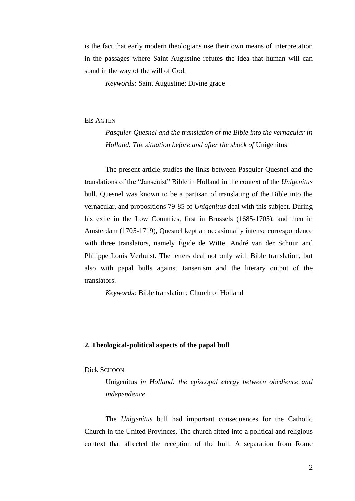is the fact that early modern theologians use their own means of interpretation in the passages where Saint Augustine refutes the idea that human will can stand in the way of the will of God.

*Keywords:* Saint Augustine; Divine grace

## Els AGTEN

*Pasquier Quesnel and the translation of the Bible into the vernacular in Holland. The situation before and after the shock of* Unigenitus

The present article studies the links between Pasquier Quesnel and the translations of the "Jansenist" Bible in Holland in the context of the *Unigenitus* bull. Quesnel was known to be a partisan of translating of the Bible into the vernacular, and propositions 79-85 of *Unigenitus* deal with this subject. During his exile in the Low Countries, first in Brussels (1685-1705), and then in Amsterdam (1705-1719), Quesnel kept an occasionally intense correspondence with three translators, namely Égide de Witte, André van der Schuur and Philippe Louis Verhulst. The letters deal not only with Bible translation, but also with papal bulls against Jansenism and the literary output of the translators.

*Keywords:* Bible translation; Church of Holland

# **2. Theological-political aspects of the papal bull**

#### Dick SCHOON

Unigenitus *in Holland: the episcopal clergy between obedience and independence* 

The *Unigenitus* bull had important consequences for the Catholic Church in the United Provinces. The church fitted into a political and religious context that affected the reception of the bull. A separation from Rome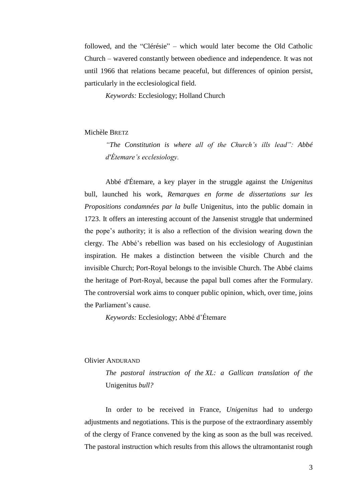followed, and the "Clérésie" – which would later become the Old Catholic Church – wavered constantly between obedience and independence. It was not until 1966 that relations became peaceful, but differences of opinion persist, particularly in the ecclesiological field.

*Keywords:* Ecclesiology; Holland Church

## Michèle BRETZ

*"The Constitution is where all of the Church's ills lead": Abbé d'Étemare's ecclesiology.*

Abbé d'Étemare, a key player in the struggle against the *Unigenitus*  bull, launched his work, *Remarques en forme de dissertations sur les Propositions condamnées par la bulle* Unigenitus, into the public domain in 1723. It offers an interesting account of the Jansenist struggle that undermined the pope's authority; it is also a reflection of the division wearing down the clergy. The Abbé's rebellion was based on his ecclesiology of Augustinian inspiration. He makes a distinction between the visible Church and the invisible Church; Port-Royal belongs to the invisible Church. The Abbé claims the heritage of Port-Royal, because the papal bull comes after the Formulary. The controversial work aims to conquer public opinion, which, over time, joins the Parliament's cause.

*Keywords:* Ecclesiology; Abbé d'Étemare

#### Olivier ANDURAND

*The pastoral instruction of the XL: a Gallican translation of the*  Unigenitus *bull?*

In order to be received in France, *Unigenitus* had to undergo adjustments and negotiations. This is the purpose of the extraordinary assembly of the clergy of France convened by the king as soon as the bull was received. The pastoral instruction which results from this allows the ultramontanist rough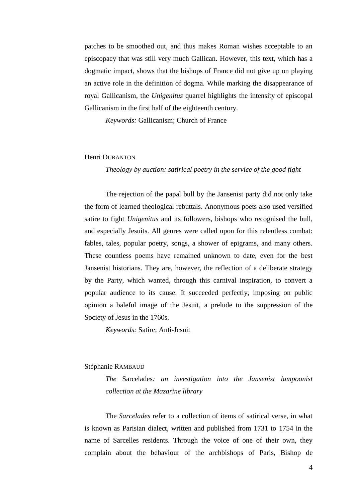patches to be smoothed out, and thus makes Roman wishes acceptable to an episcopacy that was still very much Gallican. However, this text, which has a dogmatic impact, shows that the bishops of France did not give up on playing an active role in the definition of dogma. While marking the disappearance of royal Gallicanism, the *Unigenitus* quarrel highlights the intensity of episcopal Gallicanism in the first half of the eighteenth century.

*Keywords:* Gallicanism; Church of France

## Henri DURANTON

*Theology by auction: satirical poetry in the service of the good fight* 

The rejection of the papal bull by the Jansenist party did not only take the form of learned theological rebuttals. Anonymous poets also used versified satire to fight *Unigenitus* and its followers, bishops who recognised the bull, and especially Jesuits. All genres were called upon for this relentless combat: fables, tales, popular poetry, songs, a shower of epigrams, and many others. These countless poems have remained unknown to date, even for the best Jansenist historians. They are, however, the reflection of a deliberate strategy by the Party, which wanted, through this carnival inspiration, to convert a popular audience to its cause. It succeeded perfectly, imposing on public opinion a baleful image of the Jesuit, a prelude to the suppression of the Society of Jesus in the 1760s.

*Keywords:* Satire; Anti-Jesuit

## Stéphanie RAMBAUD

*The* Sarcelades*: an investigation into the Jansenist lampoonist collection at the Mazarine library*

The *Sarcelades* refer to a collection of items of satirical verse, in what is known as Parisian dialect, written and published from 1731 to 1754 in the name of Sarcelles residents. Through the voice of one of their own, they complain about the behaviour of the archbishops of Paris, Bishop de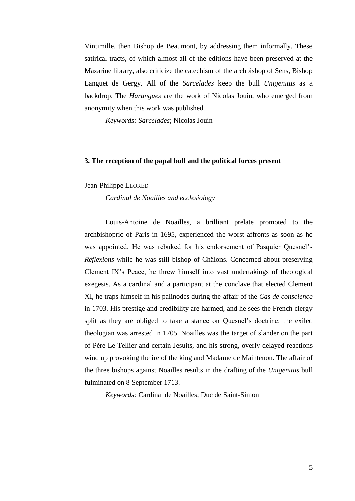Vintimille, then Bishop de Beaumont, by addressing them informally. These satirical tracts, of which almost all of the editions have been preserved at the Mazarine library, also criticize the catechism of the archbishop of Sens, Bishop Languet de Gergy. All of the *Sarcelades* keep the bull *Unigenitus* as a backdrop. The *Harangues* are the work of Nicolas Jouin, who emerged from anonymity when this work was published.

*Keywords: Sarcelades*; Nicolas Jouin

## **3. The reception of the papal bull and the political forces present**

## Jean-Philippe LLORED

*Cardinal de Noailles and ecclesiology*

Louis-Antoine de Noailles, a brilliant prelate promoted to the archbishopric of Paris in 1695, experienced the worst affronts as soon as he was appointed. He was rebuked for his endorsement of Pasquier Quesnel's *Réflexions* while he was still bishop of Châlons. Concerned about preserving Clement IX's Peace, he threw himself into vast undertakings of theological exegesis. As a cardinal and a participant at the conclave that elected Clement XI, he traps himself in his palinodes during the affair of the *Cas de conscience* in 1703. His prestige and credibility are harmed, and he sees the French clergy split as they are obliged to take a stance on Quesnel's doctrine: the exiled theologian was arrested in 1705. Noailles was the target of slander on the part of Père Le Tellier and certain Jesuits, and his strong, overly delayed reactions wind up provoking the ire of the king and Madame de Maintenon. The affair of the three bishops against Noailles results in the drafting of the *Unigenitus* bull fulminated on 8 September 1713.

*Keywords:* Cardinal de Noailles; Duc de Saint-Simon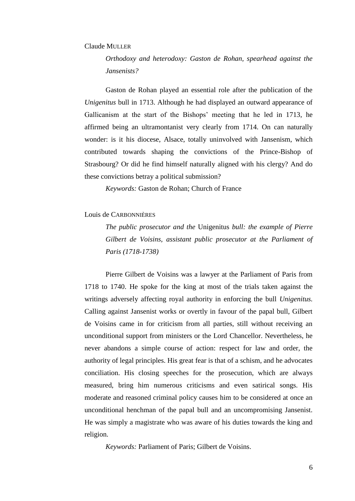#### Claude MULLER

*Orthodoxy and heterodoxy: Gaston de Rohan, spearhead against the Jansenists?* 

Gaston de Rohan played an essential role after the publication of the *Unigenitus* bull in 1713. Although he had displayed an outward appearance of Gallicanism at the start of the Bishops' meeting that he led in 1713, he affirmed being an ultramontanist very clearly from 1714. On can naturally wonder: is it his diocese, Alsace, totally uninvolved with Jansenism, which contributed towards shaping the convictions of the Prince-Bishop of Strasbourg? Or did he find himself naturally aligned with his clergy? And do these convictions betray a political submission?

*Keywords:* Gaston de Rohan; Church of France

#### Louis de CARBONNIÈRES

*The public prosecutor and the* Unigenitus *bull: the example of Pierre Gilbert de Voisins, assistant public prosecutor at the Parliament of Paris (1718-1738)*

Pierre Gilbert de Voisins was a lawyer at the Parliament of Paris from 1718 to 1740. He spoke for the king at most of the trials taken against the writings adversely affecting royal authority in enforcing the bull *Unigenitus.* Calling against Jansenist works or overtly in favour of the papal bull, Gilbert de Voisins came in for criticism from all parties, still without receiving an unconditional support from ministers or the Lord Chancellor. Nevertheless, he never abandons a simple course of action: respect for law and order, the authority of legal principles. His great fear is that of a schism, and he advocates conciliation. His closing speeches for the prosecution, which are always measured, bring him numerous criticisms and even satirical songs. His moderate and reasoned criminal policy causes him to be considered at once an unconditional henchman of the papal bull and an uncompromising Jansenist. He was simply a magistrate who was aware of his duties towards the king and religion.

*Keywords:* Parliament of Paris; Gilbert de Voisins.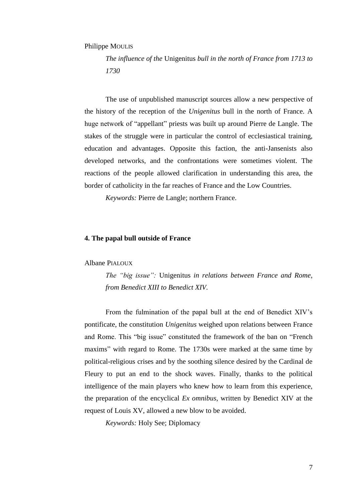## Philippe MOULIS

*The influence of the* Unigenitus *bull in the north of France from 1713 to 1730* 

The use of unpublished manuscript sources allow a new perspective of the history of the reception of the *Unigenitus* bull in the north of France. A huge network of "appellant" priests was built up around Pierre de Langle. The stakes of the struggle were in particular the control of ecclesiastical training, education and advantages. Opposite this faction, the anti-Jansenists also developed networks, and the confrontations were sometimes violent. The reactions of the people allowed clarification in understanding this area, the border of catholicity in the far reaches of France and the Low Countries.

*Keywords:* Pierre de Langle; northern France.

#### **4. The papal bull outside of France**

#### Albane PIALOUX

*The "big issue":* Unigenitus *in relations between France and Rome, from Benedict XIII to Benedict XIV.*

From the fulmination of the papal bull at the end of Benedict XIV's pontificate, the constitution *Unigenitus* weighed upon relations between France and Rome. This "big issue" constituted the framework of the ban on "French maxims" with regard to Rome. The 1730s were marked at the same time by political-religious crises and by the soothing silence desired by the Cardinal de Fleury to put an end to the shock waves. Finally, thanks to the political intelligence of the main players who knew how to learn from this experience, the preparation of the encyclical *Ex omnibus*, written by Benedict XIV at the request of Louis XV, allowed a new blow to be avoided.

*Keywords:* Holy See; Diplomacy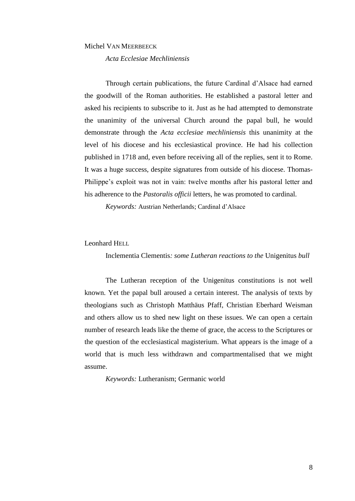#### Michel VAN MEERBEECK

*Acta Ecclesiae Mechliniensis*

Through certain publications, the future Cardinal d'Alsace had earned the goodwill of the Roman authorities. He established a pastoral letter and asked his recipients to subscribe to it. Just as he had attempted to demonstrate the unanimity of the universal Church around the papal bull, he would demonstrate through the *Acta ecclesiae mechliniensis* this unanimity at the level of his diocese and his ecclesiastical province. He had his collection published in 1718 and, even before receiving all of the replies, sent it to Rome. It was a huge success, despite signatures from outside of his diocese. Thomas-Philippe's exploit was not in vain: twelve months after his pastoral letter and his adherence to the *Pastoralis officii* letters, he was promoted to cardinal.

*Keywords:* Austrian Netherlands; Cardinal d'Alsace

## Leonhard HELL

Inclementia Clementis*: some Lutheran reactions to the* Unigenitus *bull*

The Lutheran reception of the Unigenitus constitutions is not well known. Yet the papal bull aroused a certain interest. The analysis of texts by theologians such as Christoph Matthäus Pfaff, Christian Eberhard Weisman and others allow us to shed new light on these issues. We can open a certain number of research leads like the theme of grace, the access to the Scriptures or the question of the ecclesiastical magisterium. What appears is the image of a world that is much less withdrawn and compartmentalised that we might assume.

*Keywords:* Lutheranism; Germanic world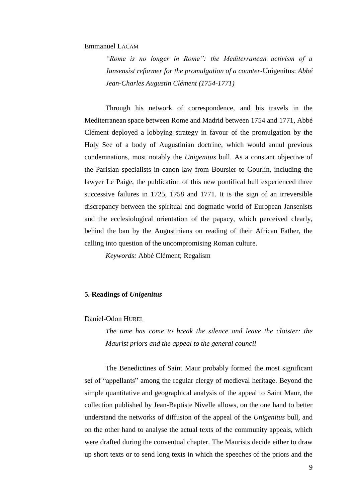## Emmanuel LACAM

*"Rome is no longer in Rome": the Mediterranean activism of a Jansensist reformer for the promulgation of a counter-*Unigenitus: *Abbé Jean-Charles Augustin Clément (1754-1771)*

Through his network of correspondence, and his travels in the Mediterranean space between Rome and Madrid between 1754 and 1771, Abbé Clément deployed a lobbying strategy in favour of the promulgation by the Holy See of a body of Augustinian doctrine, which would annul previous condemnations, most notably the *Unigenitus* bull. As a constant objective of the Parisian specialists in canon law from Boursier to Gourlin, including the lawyer Le Paige, the publication of this new pontifical bull experienced three successive failures in 1725, 1758 and 1771. It is the sign of an irreversible discrepancy between the spiritual and dogmatic world of European Jansenists and the ecclesiological orientation of the papacy, which perceived clearly, behind the ban by the Augustinians on reading of their African Father, the calling into question of the uncompromising Roman culture.

*Keywords:* Abbé Clément; Regalism

## **5. Readings of** *Unigenitus*

Daniel-Odon HUREL

*The time has come to break the silence and leave the cloister: the Maurist priors and the appeal to the general council* 

The Benedictines of Saint Maur probably formed the most significant set of "appellants" among the regular clergy of medieval heritage. Beyond the simple quantitative and geographical analysis of the appeal to Saint Maur, the collection published by Jean-Baptiste Nivelle allows, on the one hand to better understand the networks of diffusion of the appeal of the *Unigenitus* bull, and on the other hand to analyse the actual texts of the community appeals, which were drafted during the conventual chapter. The Maurists decide either to draw up short texts or to send long texts in which the speeches of the priors and the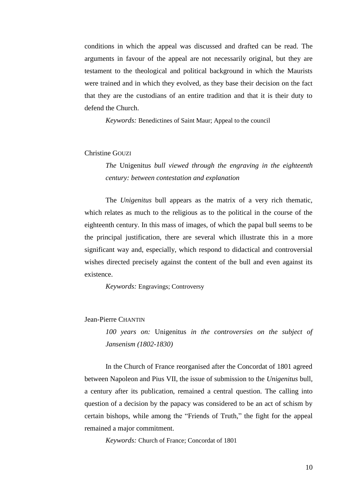conditions in which the appeal was discussed and drafted can be read. The arguments in favour of the appeal are not necessarily original, but they are testament to the theological and political background in which the Maurists were trained and in which they evolved, as they base their decision on the fact that they are the custodians of an entire tradition and that it is their duty to defend the Church.

*Keywords:* Benedictines of Saint Maur; Appeal to the council

# Christine GOUZI

*The* Unigenitus *bull viewed through the engraving in the eighteenth century: between contestation and explanation*

The *Unigenitus* bull appears as the matrix of a very rich thematic, which relates as much to the religious as to the political in the course of the eighteenth century. In this mass of images, of which the papal bull seems to be the principal justification, there are several which illustrate this in a more significant way and, especially, which respond to didactical and controversial wishes directed precisely against the content of the bull and even against its existence.

*Keywords:* Engravings; Controversy

Jean-Pierre CHANTIN

*100 years on:* Unigenitus *in the controversies on the subject of Jansenism (1802-1830)*

In the Church of France reorganised after the Concordat of 1801 agreed between Napoleon and Pius VII, the issue of submission to the *Unigenitus* bull, a century after its publication, remained a central question. The calling into question of a decision by the papacy was considered to be an act of schism by certain bishops, while among the "Friends of Truth," the fight for the appeal remained a major commitment.

*Keywords:* Church of France; Concordat of 1801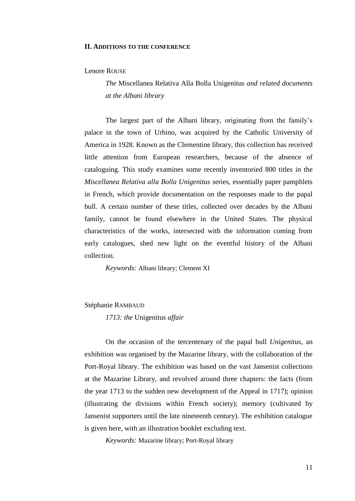#### **II. ADDITIONS TO THE CONFERENCE**

## Lenore ROUSE

*The* Miscellanea Relativa Alla Bolla Unigenitus *and related documents at the Albani library*

The largest part of the Albani library, originating from the family's palace in the town of Urbino, was acquired by the Catholic University of America in 1928. Known as the Clementine library, this collection has received little attention from European researchers, because of the absence of cataloguing. This study examines some recently inventoried 800 titles in the *Miscellanea Relativa alla Bolla Unigenitus* series, essentially paper pamphlets in French, which provide documentation on the responses made to the papal bull. A certain number of these titles, collected over decades by the Albani family, cannot be found elsewhere in the United States. The physical characteristics of the works, intersected with the information coming from early catalogues, shed new light on the eventful history of the Albani collection.

*Keywords:* Albani library; Clement XI

## Stéphanie RAMBAUD

*1713: the* Unigenitus *affair*

On the occasion of the tercentenary of the papal bull *Unigenitus*, an exhibition was organised by the Mazarine library, with the collaboration of the Port-Royal library. The exhibition was based on the vast Jansenist collections at the Mazarine Library, and revolved around three chapters: the facts (from the year 1713 to the sudden new development of the Appeal in 1717); opinion (illustrating the divisions within French society); memory (cultivated by Jansenist supporters until the late nineteenth century). The exhibition catalogue is given here, with an illustration booklet excluding text.

*Keywords:* Mazarine library; Port-Royal library